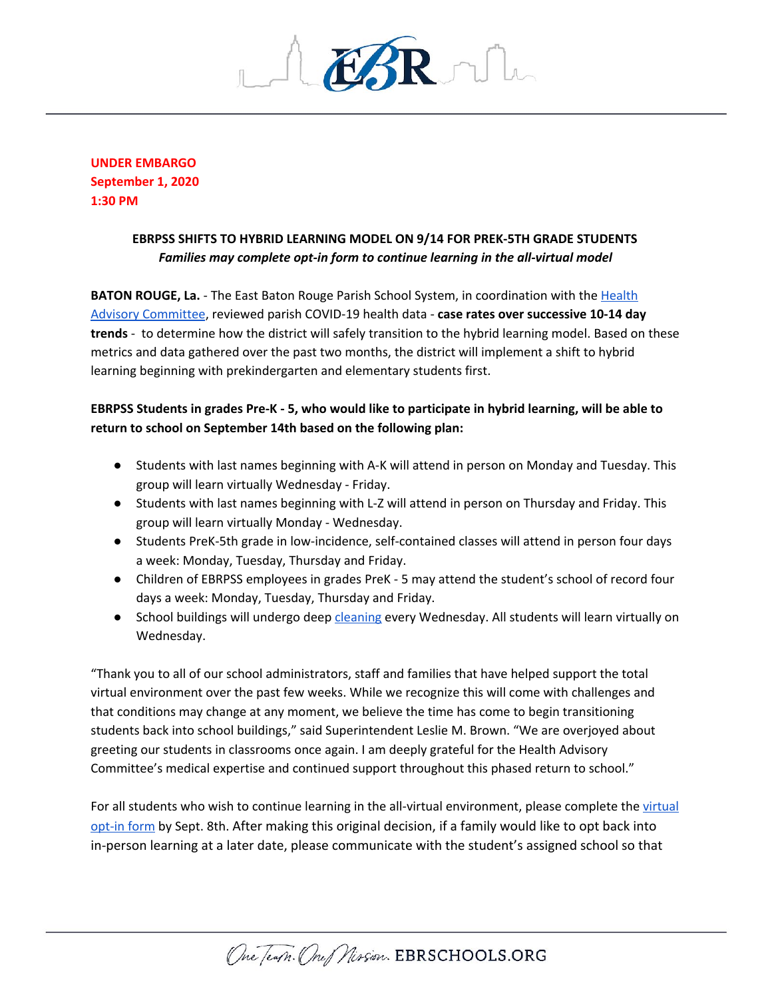

**UNDER EMBARGO September 1, 2020 1:30 PM**

## **EBRPSS SHIFTS TO HYBRID LEARNING MODEL ON 9/14 FOR PREK-5TH GRADE STUDENTS** *Families may complete opt-in form to continue learning in the all-virtual model*

**BATON ROUGE, La.** - The East Baton Rouge Parish School System, in coordination with the [Health](https://ebrschools.org/wp-content/uploads/2020/08/Revised-Principal-Meeting-Return-to-School-Criteria-8.31.2020.pdf) Advisory [Committee](https://ebrschools.org/wp-content/uploads/2020/08/Revised-Principal-Meeting-Return-to-School-Criteria-8.31.2020.pdf), reviewed parish COVID-19 health data - **case rates over successive 10-14 day trends** - to determine how the district will safely transition to the hybrid learning model. Based on these metrics and data gathered over the past two months, the district will implement a shift to hybrid learning beginning with prekindergarten and elementary students first.

## EBRPSS Students in grades Pre-K - 5, who would like to participate in hybrid learning, will be able to **return to school on September 14th based on the following plan:**

- Students with last names beginning with A-K will attend in person on Monday and Tuesday. This group will learn virtually Wednesday - Friday.
- Students with last names beginning with L-Z will attend in person on Thursday and Friday. This group will learn virtually Monday - Wednesday.
- Students PreK-5th grade in low-incidence, self-contained classes will attend in person four days a week: Monday, Tuesday, Thursday and Friday.
- Children of EBRPSS employees in grades PreK 5 may attend the student's school of record four days a week: Monday, Tuesday, Thursday and Friday.
- School buildings will undergo deep [cleaning](https://youtu.be/aZRCBYvVwJY) every Wednesday. All students will learn virtually on Wednesday.

"Thank you to all of our school administrators, staff and families that have helped support the total virtual environment over the past few weeks. While we recognize this will come with challenges and that conditions may change at any moment, we believe the time has come to begin transitioning students back into school buildings," said Superintendent Leslie M. Brown. "We are overjoyed about greeting our students in classrooms once again. I am deeply grateful for the Health Advisory Committee's medical expertise and continued support throughout this phased return to school."

For all students who wish to continue learning in the all-[virtual](https://forms.gle/Hdigiwn5btGVyKi96) environment, please complete the virtual [opt-in](https://forms.gle/Hdigiwn5btGVyKi96) form by Sept. 8th. After making this original decision, if a family would like to opt back into in-person learning at a later date, please communicate with the student's assigned school so that